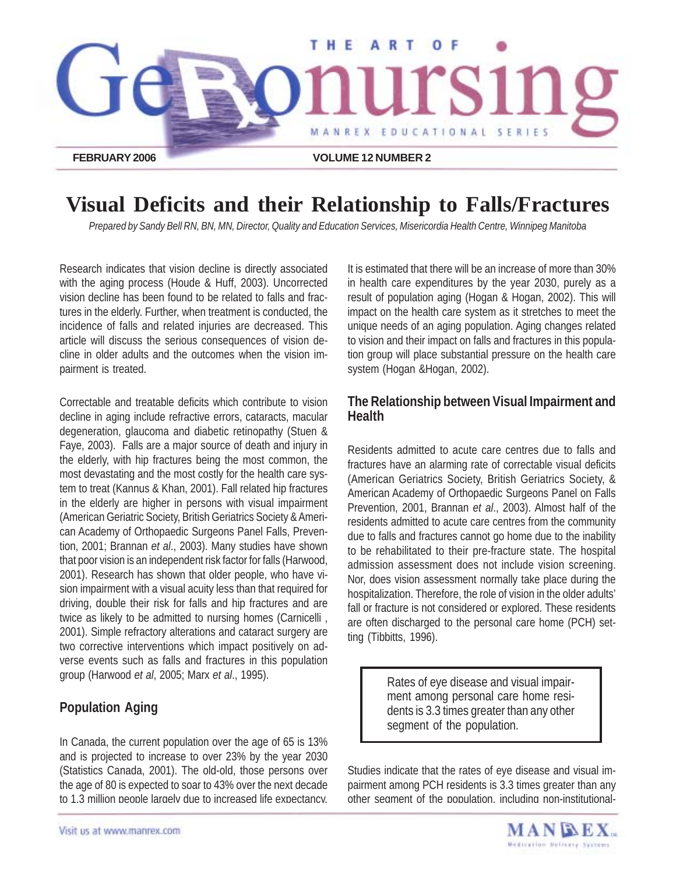

# **Visual Deficits and their Relationship to Falls/Fractures**

*Prepared by Sandy Bell RN, BN, MN, Director, Quality and Education Services, Misericordia Health Centre, Winnipeg Manitoba*

Research indicates that vision decline is directly associated with the aging process (Houde & Huff, 2003). Uncorrected vision decline has been found to be related to falls and fractures in the elderly. Further, when treatment is conducted, the incidence of falls and related injuries are decreased. This article will discuss the serious consequences of vision decline in older adults and the outcomes when the vision impairment is treated.

Correctable and treatable deficits which contribute to vision decline in aging include refractive errors, cataracts, macular degeneration, glaucoma and diabetic retinopathy (Stuen & Faye, 2003). Falls are a major source of death and injury in the elderly, with hip fractures being the most common, the most devastating and the most costly for the health care system to treat (Kannus & Khan, 2001). Fall related hip fractures in the elderly are higher in persons with visual impairment (American Geriatric Society, British Geriatrics Society & American Academy of Orthopaedic Surgeons Panel Falls, Prevention, 2001; Brannan *et al*., 2003). Many studies have shown that poor vision is an independent risk factor for falls (Harwood, 2001). Research has shown that older people, who have vision impairment with a visual acuity less than that required for driving, double their risk for falls and hip fractures and are twice as likely to be admitted to nursing homes (Carnicelli , 2001). Simple refractory alterations and cataract surgery are two corrective interventions which impact positively on adverse events such as falls and fractures in this population group (Harwood *et al*, 2005; Marx *et al*., 1995).

## **Population Aging**

In Canada, the current population over the age of 65 is 13% and is projected to increase to over 23% by the year 2030 (Statistics Canada, 2001). The old-old, those persons over the age of 80 is expected to soar to 43% over the next decade to 1.3 million people largely due to increased life expectancy.

It is estimated that there will be an increase of more than 30% in health care expenditures by the year 2030, purely as a result of population aging (Hogan & Hogan, 2002). This will impact on the health care system as it stretches to meet the unique needs of an aging population. Aging changes related to vision and their impact on falls and fractures in this population group will place substantial pressure on the health care system (Hogan &Hogan, 2002).

### **The Relationship between Visual Impairment and Health**

Residents admitted to acute care centres due to falls and fractures have an alarming rate of correctable visual deficits (American Geriatrics Society, British Geriatrics Society, & American Academy of Orthopaedic Surgeons Panel on Falls Prevention, 2001, Brannan *et al*., 2003). Almost half of the residents admitted to acute care centres from the community due to falls and fractures cannot go home due to the inability to be rehabilitated to their pre-fracture state. The hospital admission assessment does not include vision screening. Nor, does vision assessment normally take place during the hospitalization. Therefore, the role of vision in the older adults' fall or fracture is not considered or explored. These residents are often discharged to the personal care home (PCH) setting (Tibbitts, 1996).

> Rates of eye disease and visual impairment among personal care home residents is 3.3 times greater than any other segment of the population.

Studies indicate that the rates of eye disease and visual impairment among PCH residents is 3.3 times greater than any other segment of the population, including non-institutional-

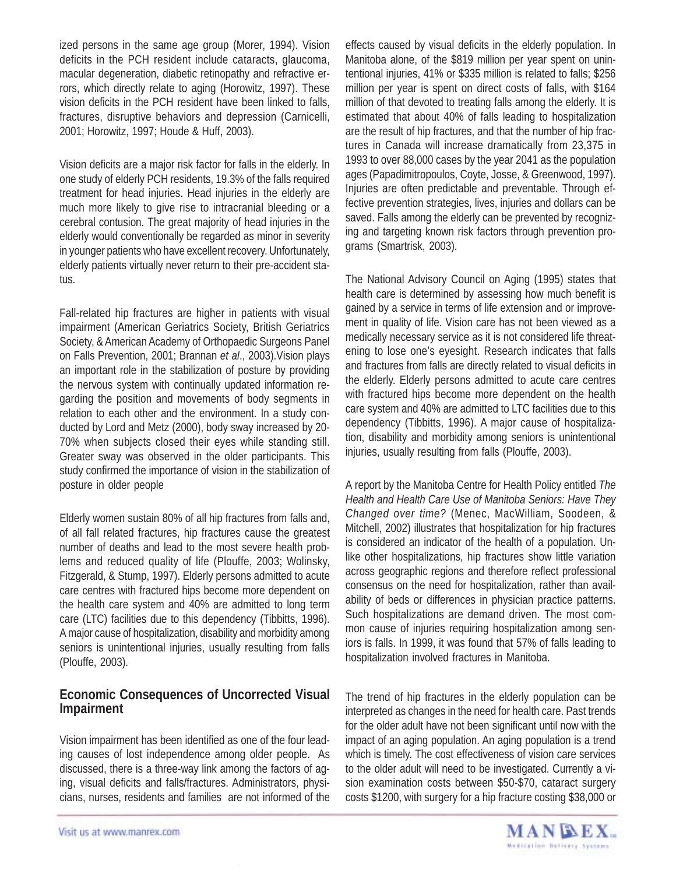ized persons in the same age group (Morer, 1994). Vision deficits in the PCH resident include cataracts, glaucoma, macular degeneration, diabetic retinopathy and refractive errors, which directly relate to aging (Horowitz, 1997). These vision deficits in the PCH resident have been linked to falls, fractures, disruptive behaviors and depression (Carnicelli, 2001; Horowitz, 1997; Houde & Huff, 2003).

Vision deficits are a major risk factor for falls in the elderly. In one study of elderly PCH residents, 19.3% of the falls required treatment for head injuries. Head injuries in the elderly are much more likely to give rise to intracranial bleeding or a cerebral contusion. The great majority of head injuries in the elderly would conventionally be regarded as minor in severity in younger patients who have excellent recovery. Unfortunately, elderly patients virtually never return to their pre-accident status.

Fall-related hip fractures are higher in patients with visual impairment (American Geriatrics Society, British Geriatrics Society, & American Academy of Orthopaedic Surgeons Panel on Falls Prevention, 2001; Brannan *et al*., 2003).Vision plays an important role in the stabilization of posture by providing the nervous system with continually updated information regarding the position and movements of body segments in relation to each other and the environment. In a study conducted by Lord and Metz (2000), body sway increased by 20- 70% when subjects closed their eyes while standing still. Greater sway was observed in the older participants. This study confirmed the importance of vision in the stabilization of posture in older people

Elderly women sustain 80% of all hip fractures from falls and, of all fall related fractures, hip fractures cause the greatest number of deaths and lead to the most severe health problems and reduced quality of life (Plouffe, 2003; Wolinsky, Fitzgerald, & Stump, 1997). Elderly persons admitted to acute care centres with fractured hips become more dependent on the health care system and 40% are admitted to long term care (LTC) facilities due to this dependency (Tibbitts, 1996). A major cause of hospitalization, disability and morbidity among seniors is unintentional injuries, usually resulting from falls (Plouffe, 2003).

## **Economic Consequences of Uncorrected Visual Impairment**

Vision impairment has been identified as one of the four leading causes of lost independence among older people. As discussed, there is a three-way link among the factors of aging, visual deficits and falls/fractures. Administrators, physicians, nurses, residents and families are not informed of the effects caused by visual deficits in the elderly population. In Manitoba alone, of the \$819 million per year spent on unintentional injuries, 41% or \$335 million is related to falls; \$256 million per year is spent on direct costs of falls, with \$164 million of that devoted to treating falls among the elderly. It is estimated that about 40% of falls leading to hospitalization are the result of hip fractures, and that the number of hip fractures in Canada will increase dramatically from 23,375 in 1993 to over 88,000 cases by the year 2041 as the population ages (Papadimitropoulos, Coyte, Josse, & Greenwood, 1997). Injuries are often predictable and preventable. Through effective prevention strategies, lives, injuries and dollars can be saved. Falls among the elderly can be prevented by recognizing and targeting known risk factors through prevention programs (Smartrisk, 2003).

The National Advisory Council on Aging (1995) states that health care is determined by assessing how much benefit is gained by a service in terms of life extension and or improvement in quality of life. Vision care has not been viewed as a medically necessary service as it is not considered life threatening to lose one's eyesight. Research indicates that falls and fractures from falls are directly related to visual deficits in the elderly. Elderly persons admitted to acute care centres with fractured hips become more dependent on the health care system and 40% are admitted to LTC facilities due to this dependency (Tibbitts, 1996). A major cause of hospitalization, disability and morbidity among seniors is unintentional injuries, usually resulting from falls (Plouffe, 2003).

A report by the Manitoba Centre for Health Policy entitled *The Health and Health Care Use of Manitoba Seniors: Have They Changed over time?* (Menec, MacWilliam, Soodeen, & Mitchell, 2002) illustrates that hospitalization for hip fractures is considered an indicator of the health of a population. Unlike other hospitalizations, hip fractures show little variation across geographic regions and therefore reflect professional consensus on the need for hospitalization, rather than availability of beds or differences in physician practice patterns. Such hospitalizations are demand driven. The most common cause of injuries requiring hospitalization among seniors is falls. In 1999, it was found that 57% of falls leading to hospitalization involved fractures in Manitoba.

The trend of hip fractures in the elderly population can be interpreted as changes in the need for health care. Past trends for the older adult have not been significant until now with the impact of an aging population. An aging population is a trend which is timely. The cost effectiveness of vision care services to the older adult will need to be investigated. Currently a vision examination costs between \$50-\$70, cataract surgery costs \$1200, with surgery for a hip fracture costing \$38,000 or

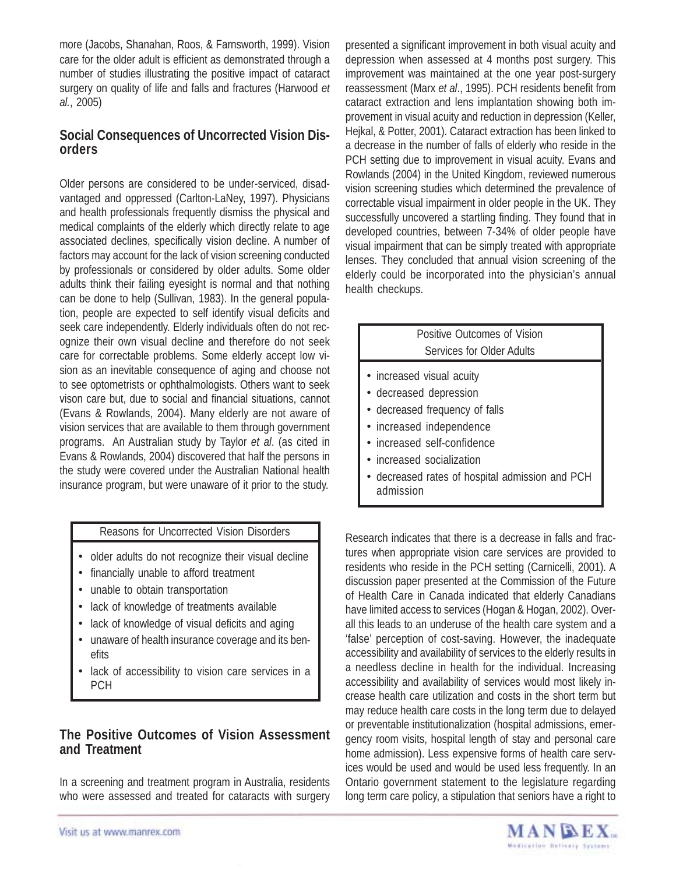more (Jacobs, Shanahan, Roos, & Farnsworth, 1999). Vision care for the older adult is efficient as demonstrated through a number of studies illustrating the positive impact of cataract surgery on quality of life and falls and fractures (Harwood *et al.*, 2005)

## **Social Consequences of Uncorrected Vision Disorders**

Older persons are considered to be under-serviced, disadvantaged and oppressed (Carlton-LaNey, 1997). Physicians and health professionals frequently dismiss the physical and medical complaints of the elderly which directly relate to age associated declines, specifically vision decline. A number of factors may account for the lack of vision screening conducted by professionals or considered by older adults. Some older adults think their failing eyesight is normal and that nothing can be done to help (Sullivan, 1983). In the general population, people are expected to self identify visual deficits and seek care independently. Elderly individuals often do not recognize their own visual decline and therefore do not seek care for correctable problems. Some elderly accept low vision as an inevitable consequence of aging and choose not to see optometrists or ophthalmologists. Others want to seek vison care but, due to social and financial situations, cannot (Evans & Rowlands, 2004). Many elderly are not aware of vision services that are available to them through government programs. An Australian study by Taylor *et al*. (as cited in Evans & Rowlands, 2004) discovered that half the persons in the study were covered under the Australian National health insurance program, but were unaware of it prior to the study.

#### Reasons for Uncorrected Vision Disorders

- older adults do not recognize their visual decline
- financially unable to afford treatment
- unable to obtain transportation
- lack of knowledge of treatments available
- lack of knowledge of visual deficits and aging
- unaware of health insurance coverage and its benefits
- lack of accessibility to vision care services in a PCH

## **The Positive Outcomes of Vision Assessment and Treatment**

In a screening and treatment program in Australia, residents who were assessed and treated for cataracts with surgery presented a significant improvement in both visual acuity and depression when assessed at 4 months post surgery. This improvement was maintained at the one year post-surgery reassessment (Marx *et al*., 1995). PCH residents benefit from cataract extraction and lens implantation showing both improvement in visual acuity and reduction in depression (Keller, Hejkal, & Potter, 2001). Cataract extraction has been linked to a decrease in the number of falls of elderly who reside in the PCH setting due to improvement in visual acuity. Evans and Rowlands (2004) in the United Kingdom, reviewed numerous vision screening studies which determined the prevalence of correctable visual impairment in older people in the UK. They successfully uncovered a startling finding. They found that in developed countries, between 7-34% of older people have visual impairment that can be simply treated with appropriate lenses. They concluded that annual vision screening of the elderly could be incorporated into the physician's annual health checkups.

## Positive Outcomes of Vision Services for Older Adults

- increased visual acuity
- decreased depression
- decreased frequency of falls
- increased independence
- increased self-confidence
- increased socialization
- decreased rates of hospital admission and PCH admission

Research indicates that there is a decrease in falls and fractures when appropriate vision care services are provided to residents who reside in the PCH setting (Carnicelli, 2001). A discussion paper presented at the Commission of the Future of Health Care in Canada indicated that elderly Canadians have limited access to services (Hogan & Hogan, 2002). Overall this leads to an underuse of the health care system and a 'false' perception of cost-saving. However, the inadequate accessibility and availability of services to the elderly results in a needless decline in health for the individual. Increasing accessibility and availability of services would most likely increase health care utilization and costs in the short term but may reduce health care costs in the long term due to delayed or preventable institutionalization (hospital admissions, emergency room visits, hospital length of stay and personal care home admission). Less expensive forms of health care services would be used and would be used less frequently. In an Ontario government statement to the legislature regarding long term care policy, a stipulation that seniors have a right to